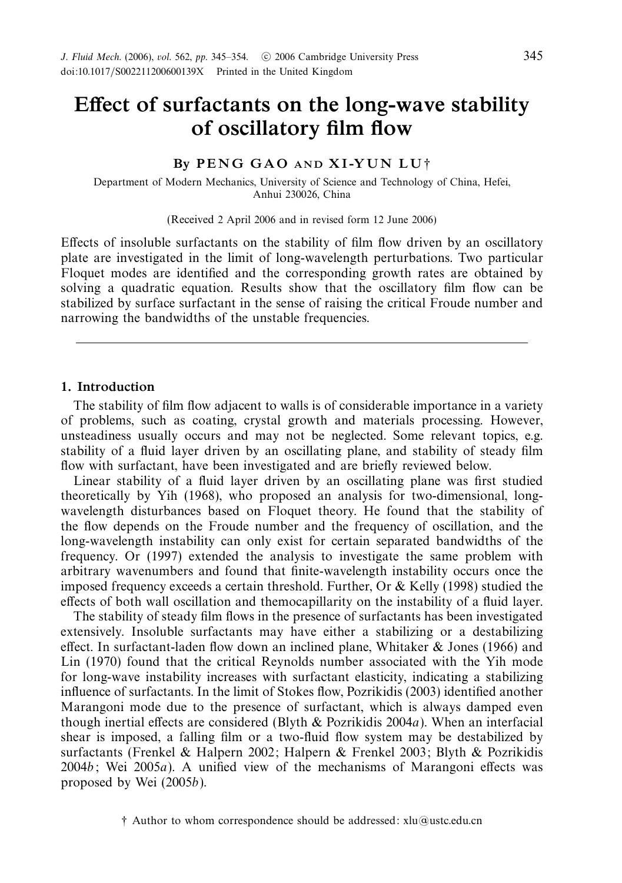# *Effect of surfactants on the long-wave stability of oscillatory film flow*

# *By P E N G G A O AND X I -Y U N L U* †

Department of Modern Mechanics, University of Science and Technology of China, Hefei, Anhui 230026, China

(Received 2 April 2006 and in revised form 12 June 2006)

Effects of insoluble surfactants on the stability of film flow driven by an oscillatory plate are investigated in the limit of long-wavelength perturbations. Two particular Floquet modes are identified and the corresponding growth rates are obtained by solving a quadratic equation. Results show that the oscillatory film flow can be stabilized by surface surfactant in the sense of raising the critical Froude number and narrowing the bandwidths of the unstable frequencies.

# *1. Introduction*

The stability of film flow adjacent to walls is of considerable importance in a variety of problems, such as coating, crystal growth and materials processing. However, unsteadiness usually occurs and may not be neglected. Some relevant topics, e.g. stability of a fluid layer driven by an oscillating plane, and stability of steady film flow with surfactant, have been investigated and are briefly reviewed below.

Linear stability of a fluid layer driven by an oscillating plane was first studied theoretically by Yih (1968), who proposed an analysis for two-dimensional, longwavelength disturbances based on Floquet theory. He found that the stability of the flow depends on the Froude number and the frequency of oscillation, and the long-wavelength instability can only exist for certain separated bandwidths of the frequency. Or (1997) extended the analysis to investigate the same problem with arbitrary wavenumbers and found that finite-wavelength instability occurs once the imposed frequency exceeds a certain threshold. Further, Or & Kelly (1998) studied the effects of both wall oscillation and themocapillarity on the instability of a fluid layer.

The stability of steady film flows in the presence of surfactants has been investigated extensively. Insoluble surfactants may have either a stabilizing or a destabilizing effect. In surfactant-laden flow down an inclined plane, Whitaker & Jones (1966) and Lin (1970) found that the critical Reynolds number associated with the Yih mode for long-wave instability increases with surfactant elasticity, indicating a stabilizing influence of surfactants. In the limit of Stokes flow, Pozrikidis (2003) identified another Marangoni mode due to the presence of surfactant, which is always damped even though inertial effects are considered (Blyth  $&$  Pozrikidis 2004a). When an interfacial shear is imposed, a falling film or a two-fluid flow system may be destabilized by surfactants (Frenkel & Halpern 2002; Halpern & Frenkel 2003; Blyth & Pozrikidis  $2004b$ ; Wei  $2005a$ ). A unified view of the mechanisms of Marangoni effects was proposed by Wei (2005b).

<sup>†</sup> Author to whom correspondence should be addressed: xlu@ustc.edu.cn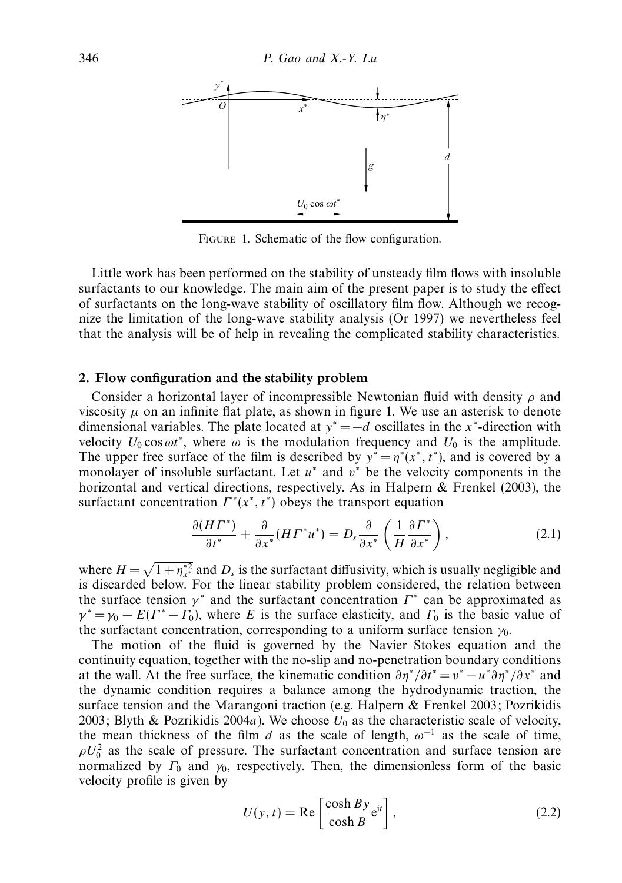

FIGURE 1. Schematic of the flow configuration.

Little work has been performed on the stability of unsteady film flows with insoluble surfactants to our knowledge. The main aim of the present paper is to study the effect of surfactants on the long-wave stability of oscillatory film flow. Although we recognize the limitation of the long-wave stability analysis (Or 1997) we nevertheless feel that the analysis will be of help in revealing the complicated stability characteristics.

#### *2. Flow configuration and the stability problem*

Consider a horizontal layer of incompressible Newtonian fluid with density *ρ* and viscosity  $\mu$  on an infinite flat plate, as shown in figure 1. We use an asterisk to denote dimensional variables. The plate located at  $y^* = -d$  oscillates in the *x*<sup>\*</sup>-direction with velocity  $U_0 \cos \omega t^*$ , where  $\omega$  is the modulation frequency and  $U_0$  is the amplitude. The upper free surface of the film is described by  $y^* = \eta^*(x^*, t^*)$ , and is covered by a monolayer of insoluble surfactant. Let *u*<sup>∗</sup> and *v*<sup>∗</sup> be the velocity components in the horizontal and vertical directions, respectively. As in Halpern & Frenkel (2003), the surfactant concentration  $\Gamma^*(x^*, t^*)$  obeys the transport equation

$$
\frac{\partial (H\Gamma^*)}{\partial t^*} + \frac{\partial}{\partial x^*} (H\Gamma^* u^*) = D_s \frac{\partial}{\partial x^*} \left( \frac{1}{H} \frac{\partial \Gamma^*}{\partial x^*} \right),\tag{2.1}
$$

where  $H = \sqrt{1 + \eta_{x}^{*2}}$  and  $D_s$  is the surfactant diffusivity, which is usually negligible and is discarded below. For the linear stability problem considered, the relation between the surface tension  $\gamma^*$  and the surfactant concentration  $\Gamma^*$  can be approximated as  $\gamma^* = \gamma_0 - E(\Gamma^* - \Gamma_0)$ , where *E* is the surface elasticity, and  $\Gamma_0$  is the basic value of the surfactant concentration, corresponding to a uniform surface tension *γ*<sub>0</sub>.

The motion of the fluid is governed by the Navier–Stokes equation and the continuity equation, together with the no-slip and no-penetration boundary conditions at the wall. At the free surface, the kinematic condition  $\partial \eta^* / \partial t^* = v^* - u^* \partial \eta^* / \partial x^*$  and the dynamic condition requires a balance among the hydrodynamic traction, the surface tension and the Marangoni traction (e.g. Halpern & Frenkel 2003; Pozrikidis 2003; Blyth & Pozrikidis 2004a). We choose  $U_0$  as the characteristic scale of velocity, the mean thickness of the film *d* as the scale of length,  $\omega^{-1}$  as the scale of time,  $\rho U_0^2$  as the scale of pressure. The surfactant concentration and surface tension are normalized by  $\Gamma_0$  and  $\gamma_0$ , respectively. Then, the dimensionless form of the basic velocity profile is given by

$$
U(y, t) = \text{Re}\left[\frac{\cosh By}{\cosh B} e^{it}\right],\tag{2.2}
$$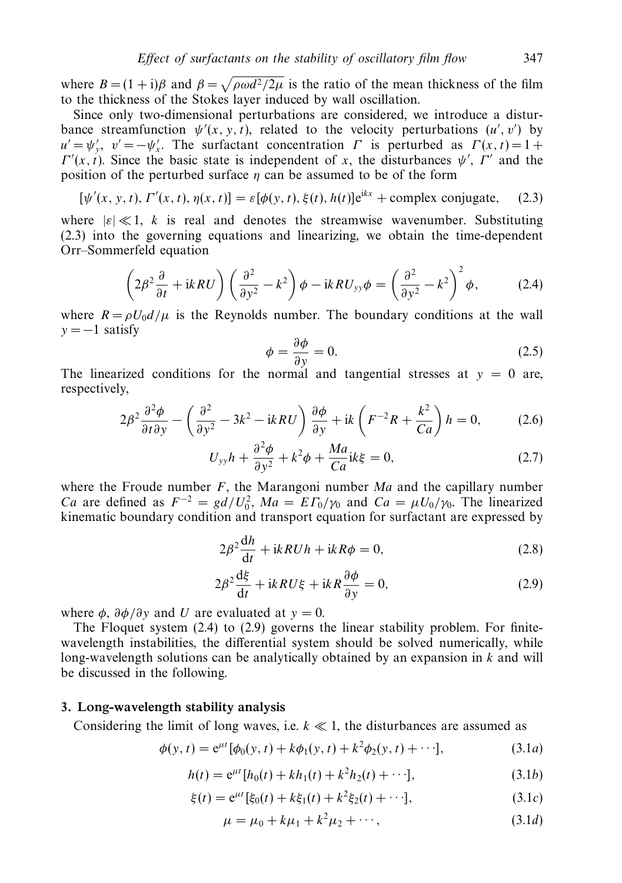where  $B = (1 + i)\beta$  and  $\beta = \sqrt{\rho \omega d^2/2\mu}$  is the ratio of the mean thickness of the film to the thickness of the Stokes layer induced by wall oscillation.

Since only two-dimensional perturbations are considered, we introduce a disturbance streamfunction  $\psi'(x, y, t)$ , related to the velocity perturbations  $(u', v')$  by  $u' = \psi'_y, v' = -\psi'_x$ . The surfactant concentration *Γ* is perturbed as  $\Gamma(x, t) = 1 + \nabla^y(x, t) = 1 + \nabla^y(x, t)$ *Γ'*(*x, t*). Since the basic state is independent of *x*, the disturbances  $\psi'$ , *Γ'* and the position of the perturbed surface *η* can be assumed to be of the form

$$
[\psi'(x, y, t), \Gamma'(x, t), \eta(x, t)] = \varepsilon[\phi(y, t), \xi(t), h(t)]e^{ikx} + \text{complex conjugate}, \quad (2.3)
$$

where  $|\varepsilon| \ll 1$ , *k* is real and denotes the streamwise wavenumber. Substituting (2.3) into the governing equations and linearizing, we obtain the time-dependent Orr–Sommerfeld equation

$$
\left(2\beta^2\frac{\partial}{\partial t} + ikRU\right) \left(\frac{\partial^2}{\partial y^2} - k^2\right) \phi - ikRU_{yy}\phi = \left(\frac{\partial^2}{\partial y^2} - k^2\right)^2 \phi, \tag{2.4}
$$

where  $R = \rho U_0 d/\mu$  is the Reynolds number. The boundary conditions at the wall  $y = -1$  satisfy

$$
\phi = \frac{\partial \phi}{\partial y} = 0. \tag{2.5}
$$

The linearized conditions for the normal and tangential stresses at  $y = 0$  are, respectively,

$$
2\beta^2 \frac{\partial^2 \phi}{\partial t \partial y} - \left(\frac{\partial^2}{\partial y^2} - 3k^2 - ikRU\right) \frac{\partial \phi}{\partial y} + ik \left(F^{-2}R + \frac{k^2}{Ca}\right)h = 0,\tag{2.6}
$$

$$
U_{yy}h + \frac{\partial^2 \phi}{\partial y^2} + k^2 \phi + \frac{Ma}{Ca}ik\xi = 0, \qquad (2.7)
$$

where the Froude number *F*, the Marangoni number Ma and the capillary number *Ca* are defined as  $F^{-2} = gd/U_0^2$ ,  $Ma = ET_0/\gamma_0$  and  $Ca = \mu U_0/\gamma_0$ . The linearized kinematic boundary condition and transport equation for surfactant are expressed by

$$
2\beta^2 \frac{dh}{dt} + ik\,H\,uh + ik\,R\phi = 0,\tag{2.8}
$$

$$
2\beta^2 \frac{d\xi}{dt} + ikRU\xi + ikR\frac{\partial\phi}{\partial y} = 0,
$$
\n(2.9)

where  $\phi$ ,  $\partial \phi / \partial y$  and *U* are evaluated at  $y = 0$ .

The Floquet system (2.4) to (2.9) governs the linear stability problem. For finitewavelength instabilities, the differential system should be solved numerically, while long-wavelength solutions can be analytically obtained by an expansion in *k* and will be discussed in the following.

#### *3. Long-wavelength stability analysis*

Considering the limit of long waves, i.e.  $k \ll 1$ , the disturbances are assumed as

$$
\phi(y, t) = e^{\mu t} [\phi_0(y, t) + k \phi_1(y, t) + k^2 \phi_2(y, t) + \cdots],
$$
\n(3.1*a*)

$$
h(t) = e^{\mu t} [h_0(t) + kh_1(t) + k^2 h_2(t) + \cdots],
$$
\n(3.1b)

$$
\xi(t) = e^{\mu t} [\xi_0(t) + k\xi_1(t) + k^2 \xi_2(t) + \cdots],
$$
\n(3.1*c*)

$$
\mu = \mu_0 + k\mu_1 + k^2\mu_2 + \cdots, \tag{3.1d}
$$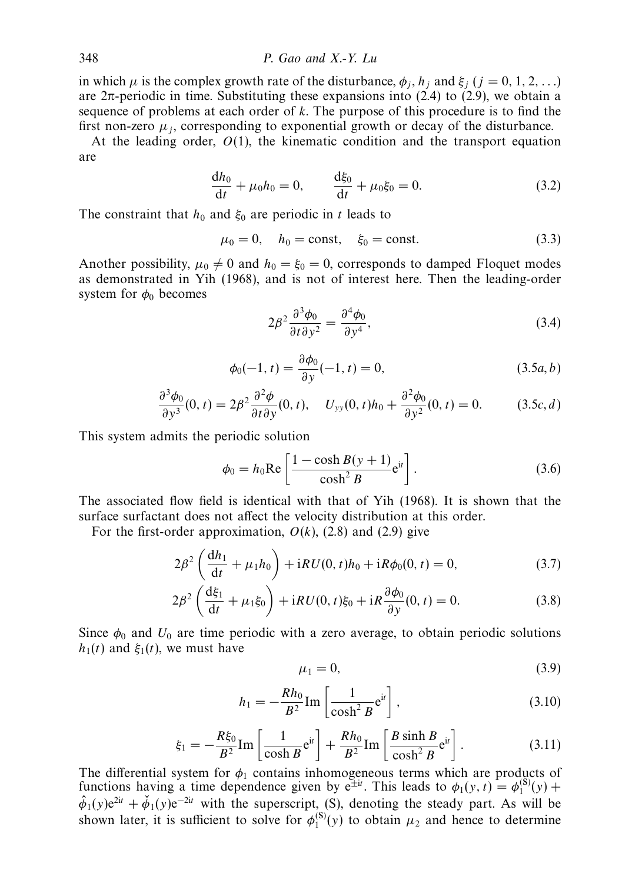in which  $\mu$  is the complex growth rate of the disturbance,  $\phi_i$ ,  $h_i$  and  $\xi_i$  ( $j = 0, 1, 2, \ldots$ ) are  $2\pi$ -periodic in time. Substituting these expansions into (2.4) to (2.9), we obtain a sequence of problems at each order of *k*. The purpose of this procedure is to find the first non-zero  $\mu_i$ , corresponding to exponential growth or decay of the disturbance.

At the leading order,  $O(1)$ , the kinematic condition and the transport equation are

$$
\frac{dh_0}{dt} + \mu_0 h_0 = 0, \qquad \frac{d\xi_0}{dt} + \mu_0 \xi_0 = 0.
$$
 (3.2)

The constraint that  $h_0$  and  $\xi_0$  are periodic in *t* leads to

$$
\mu_0 = 0
$$
,  $h_0 = \text{const}$ ,  $\xi_0 = \text{const}$ . (3.3)

Another possibility,  $\mu_0 \neq 0$  and  $h_0 = \xi_0 = 0$ , corresponds to damped Floquet modes as demonstrated in Yih (1968), and is not of interest here. Then the leading-order system for  $\phi_0$  becomes

$$
2\beta^2 \frac{\partial^3 \phi_0}{\partial t \partial y^2} = \frac{\partial^4 \phi_0}{\partial y^4},\tag{3.4}
$$

$$
\phi_0(-1, t) = \frac{\partial \phi_0}{\partial y}(-1, t) = 0, \qquad (3.5a, b)
$$

$$
\frac{\partial^3 \phi_0}{\partial y^3}(0, t) = 2\beta^2 \frac{\partial^2 \phi}{\partial t \partial y}(0, t), \quad U_{yy}(0, t)h_0 + \frac{\partial^2 \phi_0}{\partial y^2}(0, t) = 0. \tag{3.5c, d}
$$

This system admits the periodic solution

$$
\phi_0 = h_0 \text{Re}\left[\frac{1 - \cosh B(y+1)}{\cosh^2 B} e^{it}\right].\tag{3.6}
$$

The associated flow field is identical with that of Yih (1968). It is shown that the surface surfactant does not affect the velocity distribution at this order.

For the first-order approximation,  $O(k)$ ,  $(2.8)$  and  $(2.9)$  give

$$
2\beta^2 \left(\frac{dh_1}{dt} + \mu_1 h_0\right) + iRU(0, t)h_0 + iR\phi_0(0, t) = 0,
$$
\n(3.7)

$$
2\beta^2 \left(\frac{d\xi_1}{dt} + \mu_1 \xi_0\right) + iRU(0, t)\xi_0 + iR\frac{\partial \phi_0}{\partial y}(0, t) = 0.
$$
 (3.8)

Since  $\phi_0$  and  $U_0$  are time periodic with a zero average, to obtain periodic solutions *h*<sub>1</sub>(*t*) and *ξ*<sub>1</sub>(*t*), we must have

$$
\mu_1 = 0,\tag{3.9}
$$

$$
h_1 = -\frac{Rh_0}{B^2} \operatorname{Im} \left[ \frac{1}{\cosh^2 B} e^{it} \right],\tag{3.10}
$$

$$
\xi_1 = -\frac{R\xi_0}{B^2} \text{Im} \left[ \frac{1}{\cosh B} \mathbf{e}^{i t} \right] + \frac{Rh_0}{B^2} \text{Im} \left[ \frac{B \sinh B}{\cosh^2 B} \mathbf{e}^{i t} \right]. \tag{3.11}
$$

The differential system for  $\phi_1$  contains inhomogeneous terms which are products of functions having a time dependence given by  $e^{\pm it}$ . This leads to  $\phi_1(y, t) = \phi_1^{(8)}(y) +$  $\hat{\phi}_1(y)e^{2it} + \check{\phi}_1(y)e^{-2it}$  with the superscript, (S), denoting the steady part. As will be shown later, it is sufficient to solve for  $\phi_1^{(S)}(y)$  to obtain  $\mu_2$  and hence to determine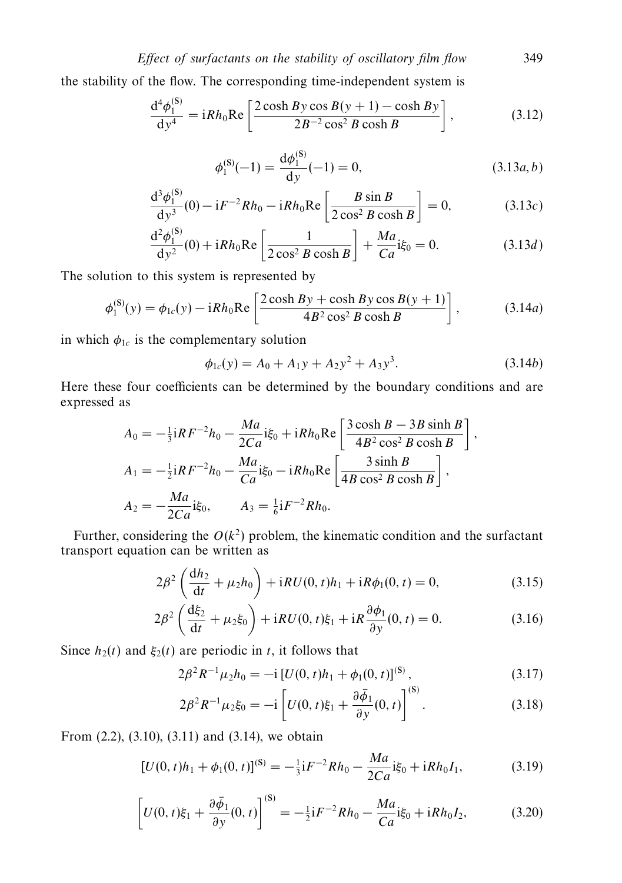the stability of the flow. The corresponding time-independent system is

$$
\frac{d^4 \phi_1^{(S)}}{dy^4} = iRh_0 \text{Re} \left[ \frac{2 \cosh By \cos B(y+1) - \cosh By}{2B^{-2} \cos^2 B \cosh B} \right],
$$
 (3.12)

$$
\phi_1^{(S)}(-1) = \frac{d\phi_1^{(S)}}{dy}(-1) = 0,
$$
\n(3.13*a*, *b*)

$$
\frac{d^3 \phi_1^{(S)}}{dy^3}(0) - iF^{-2}Rh_0 - iRh_0 \text{Re}\left[\frac{B \sin B}{2 \cos^2 B \cosh B}\right] = 0, \tag{3.13c}
$$

$$
\frac{d^2 \phi_1^{(S)}}{dy^2}(0) + iRh_0 \text{Re}\left[\frac{1}{2\cos^2 B \cosh B}\right] + \frac{Ma}{Ca}i\xi_0 = 0. \tag{3.13d}
$$

The solution to this system is represented by

$$
\phi_1^{(S)}(y) = \phi_{1c}(y) - iRh_0 \text{Re}\left[\frac{2\cosh By + \cosh By \cos B(y+1)}{4B^2 \cos^2 B \cosh B}\right],\tag{3.14a}
$$

in which  $\phi_{1c}$  is the complementary solution

$$
\phi_{1c}(y) = A_0 + A_1y + A_2y^2 + A_3y^3. \tag{3.14b}
$$

Here these four coefficients can be determined by the boundary conditions and are expressed as

$$
A_0 = -\frac{1}{3}iRF^{-2}h_0 - \frac{Ma}{2Ca}i\xi_0 + iRh_0Re\left[\frac{3\cosh B - 3B\sinh B}{4B^2\cos^2 B\cosh B}\right],
$$
  
\n
$$
A_1 = -\frac{1}{2}iRF^{-2}h_0 - \frac{Ma}{Ca}i\xi_0 - iRh_0Re\left[\frac{3\sinh B}{4B\cos^2 B\cosh B}\right],
$$
  
\n
$$
A_2 = -\frac{Ma}{2Ca}i\xi_0, \qquad A_3 = \frac{1}{6}iF^{-2}Rh_0.
$$

Further, considering the  $O(k^2)$  problem, the kinematic condition and the surfactant transport equation can be written as

$$
2\beta^2 \left(\frac{dh_2}{dt} + \mu_2 h_0\right) + iRU(0, t)h_1 + iR\phi_1(0, t) = 0,
$$
\n(3.15)

$$
2\beta^2 \left(\frac{d\xi_2}{dt} + \mu_2 \xi_0\right) + iRU(0, t)\xi_1 + iR\frac{\partial \phi_1}{\partial y}(0, t) = 0.
$$
 (3.16)

Since  $h_2(t)$  and  $\xi_2(t)$  are periodic in *t*, it follows that

$$
2\beta^2 R^{-1} \mu_2 h_0 = -i \left[ U(0, t) h_1 + \phi_1(0, t) \right]^{(S)}, \tag{3.17}
$$

$$
2\beta^2 R^{-1} \mu_2 \xi_0 = -i \left[ U(0, t)\xi_1 + \frac{\partial \bar{\phi}_1}{\partial y}(0, t) \right]^{(S)}.
$$
 (3.18)

From (2.2), (3.10), (3.11) and (3.14), we obtain

$$
[U(0, t)h_1 + \phi_1(0, t)]^{(S)} = -\frac{1}{3}iF^{-2}Rh_0 - \frac{Ma}{2Ca}i\xi_0 + iRh_0I_1,
$$
 (3.19)

$$
\[U(0, t)\xi_1 + \frac{\partial \bar{\phi}_1}{\partial y}(0, t)\]^{(S)} = -\frac{1}{2}iF^{-2}Rh_0 - \frac{Ma}{Ca}i\xi_0 + iRh_0I_2,\tag{3.20}
$$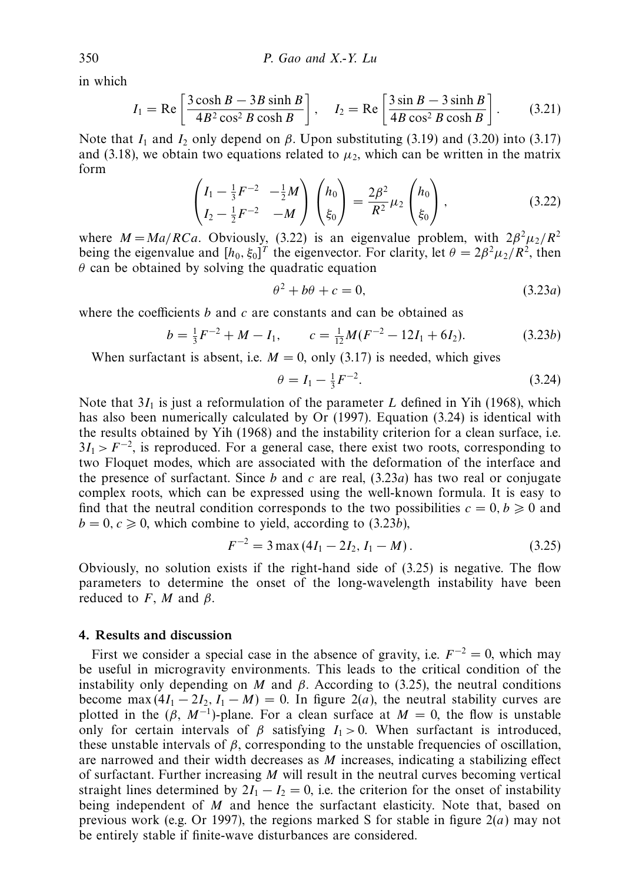in which

$$
I_1 = \text{Re}\left[\frac{3\cosh B - 3B\sinh B}{4B^2\cos^2 B\cosh B}\right], \quad I_2 = \text{Re}\left[\frac{3\sin B - 3\sinh B}{4B\cos^2 B\cosh B}\right].
$$
 (3.21)

Note that  $I_1$  and  $I_2$  only depend on *β*. Upon substituting (3.19) and (3.20) into (3.17) and (3.18), we obtain two equations related to  $\mu_2$ , which can be written in the matrix form

$$
\begin{pmatrix} I_1 - \frac{1}{3}F^{-2} & -\frac{1}{2}M \\ I_2 - \frac{1}{2}F^{-2} & -M \end{pmatrix} \begin{pmatrix} h_0 \\ \xi_0 \end{pmatrix} = \frac{2\beta^2}{R^2} \mu_2 \begin{pmatrix} h_0 \\ \xi_0 \end{pmatrix},
$$
(3.22)

where  $M = Ma/RCa$ . Obviously, (3.22) is an eigenvalue problem, with  $2\beta^2 \mu_2/R^2$ being the eigenvalue and  $[h_0, \xi_0]^T$  the eigenvector. For clarity, let  $\theta = 2\beta^2 \mu_2/R^2$ , then *θ* can be obtained by solving the quadratic equation

$$
\theta^2 + b\theta + c = 0,\tag{3.23a}
$$

where the coefficients *b* and *c* are constants and can be obtained as

$$
b = \frac{1}{3}F^{-2} + M - I_1, \qquad c = \frac{1}{12}M(F^{-2} - 12I_1 + 6I_2). \tag{3.23b}
$$

When surfactant is absent, i.e.  $M = 0$ , only (3.17) is needed, which gives

$$
\theta = I_1 - \frac{1}{3}F^{-2}.\tag{3.24}
$$

Note that 3*I*<sub>1</sub> is just a reformulation of the parameter *L* defined in Yih (1968), which has also been numerically calculated by Or (1997). Equation (3.24) is identical with the results obtained by Yih (1968) and the instability criterion for a clean surface, i.e.  $3I_1 > F^{-2}$ , is reproduced. For a general case, there exist two roots, corresponding to two Floquet modes, which are associated with the deformation of the interface and the presence of surfactant. Since  $b$  and  $c$  are real,  $(3.23a)$  has two real or conjugate complex roots, which can be expressed using the well-known formula. It is easy to find that the neutral condition corresponds to the two possibilities  $c = 0, b \ge 0$  and  $b = 0, c \ge 0$ , which combine to yield, according to (3.23*b*),

$$
F^{-2} = 3 \max (4I_1 - 2I_2, I_1 - M). \tag{3.25}
$$

Obviously, no solution exists if the right-hand side of (3.25) is negative. The flow parameters to determine the onset of the long-wavelength instability have been reduced to  $F$ ,  $M$  and  $\beta$ .

# *4. Results and discussion*

First we consider a special case in the absence of gravity, i.e.  $F^{-2} = 0$ , which may be useful in microgravity environments. This leads to the critical condition of the instability only depending on *M* and  $\beta$ . According to (3.25), the neutral conditions become max  $(4I_1 - 2I_2, I_1 - M) = 0$ . In figure 2(*a*), the neutral stability curves are plotted in the  $(\beta, M^{-1})$ -plane. For a clean surface at  $M = 0$ , the flow is unstable only for certain intervals of  $\beta$  satisfying  $I_1 > 0$ . When surfactant is introduced, these unstable intervals of  $\beta$ , corresponding to the unstable frequencies of oscillation, are narrowed and their width decreases as *M* increases, indicating a stabilizing effect of surfactant. Further increasing *M* will result in the neutral curves becoming vertical straight lines determined by  $2I_1 - I_2 = 0$ , i.e. the criterion for the onset of instability being independent of *M* and hence the surfactant elasticity. Note that, based on previous work (e.g. Or 1997), the regions marked S for stable in figure  $2(a)$  may not be entirely stable if finite-wave disturbances are considered.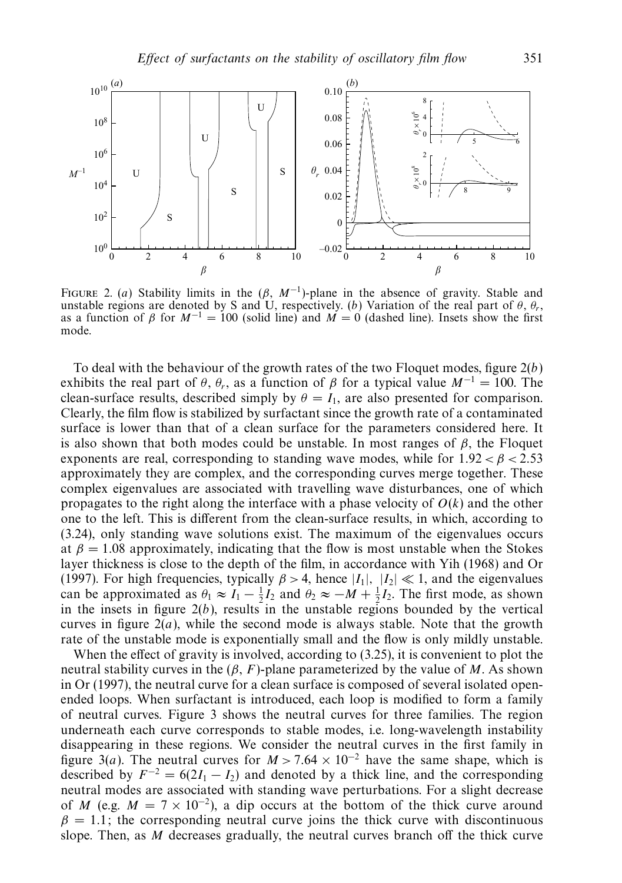

FIGURE 2. (a) Stability limits in the  $(\beta, M^{-1})$ -plane in the absence of gravity. Stable and unstable regions are denoted by S and U, respectively. (b) Variation of the real part of  $\theta$ ,  $\theta$ r, as a function of  $\beta$  for  $M^{-1} = 100$  (solid line) and  $M = 0$  (dashed line). Insets show the first mode.

To deal with the behaviour of the growth rates of the two Floquet modes, figure  $2(b)$ exhibits the real part of  $\theta$ ,  $\theta_r$ , as a function of  $\beta$  for a typical value  $M^{-1} = 100$ . The clean-surface results, described simply by  $\theta = I_1$ , are also presented for comparison. Clearly, the film flow is stabilized by surfactant since the growth rate of a contaminated surface is lower than that of a clean surface for the parameters considered here. It is also shown that both modes could be unstable. In most ranges of  $\beta$ , the Floquet exponents are real, corresponding to standing wave modes, while for  $1.92 < \beta < 2.53$ approximately they are complex, and the corresponding curves merge together. These complex eigenvalues are associated with travelling wave disturbances, one of which propagates to the right along the interface with a phase velocity of  $O(k)$  and the other one to the left. This is different from the clean-surface results, in which, according to (3.24), only standing wave solutions exist. The maximum of the eigenvalues occurs at  $\beta = 1.08$  approximately, indicating that the flow is most unstable when the Stokes layer thickness is close to the depth of the film, in accordance with Yih (1968) and Or (1997). For high frequencies, typically  $\beta > 4$ , hence  $|I_1|$ ,  $|I_2| \ll 1$ , and the eigenvalues can be approximated as  $\theta_1 \approx I_1 - \frac{1}{2}I_2$  and  $\theta_2 \approx -M + \frac{1}{2}I_2$ . The first mode, as shown in the insets in figure  $2(b)$ , results in the unstable regions bounded by the vertical curves in figure  $2(a)$ , while the second mode is always stable. Note that the growth rate of the unstable mode is exponentially small and the flow is only mildly unstable.

When the effect of gravity is involved, according to (3.25), it is convenient to plot the neutral stability curves in the  $(\beta, F)$ -plane parameterized by the value of *M*. As shown in Or (1997), the neutral curve for a clean surface is composed of several isolated openended loops. When surfactant is introduced, each loop is modified to form a family of neutral curves. Figure 3 shows the neutral curves for three families. The region underneath each curve corresponds to stable modes, i.e. long-wavelength instability disappearing in these regions. We consider the neutral curves in the first family in figure 3(a). The neutral curves for  $M > 7.64 \times 10^{-2}$  have the same shape, which is described by  $F^{-2} = 6(2I_1 - I_2)$  and denoted by a thick line, and the corresponding neutral modes are associated with standing wave perturbations. For a slight decrease of *M* (e.g.  $M = 7 \times 10^{-2}$ ), a dip occurs at the bottom of the thick curve around  $\beta = 1.1$ ; the corresponding neutral curve joins the thick curve with discontinuous slope. Then, as *M* decreases gradually, the neutral curves branch off the thick curve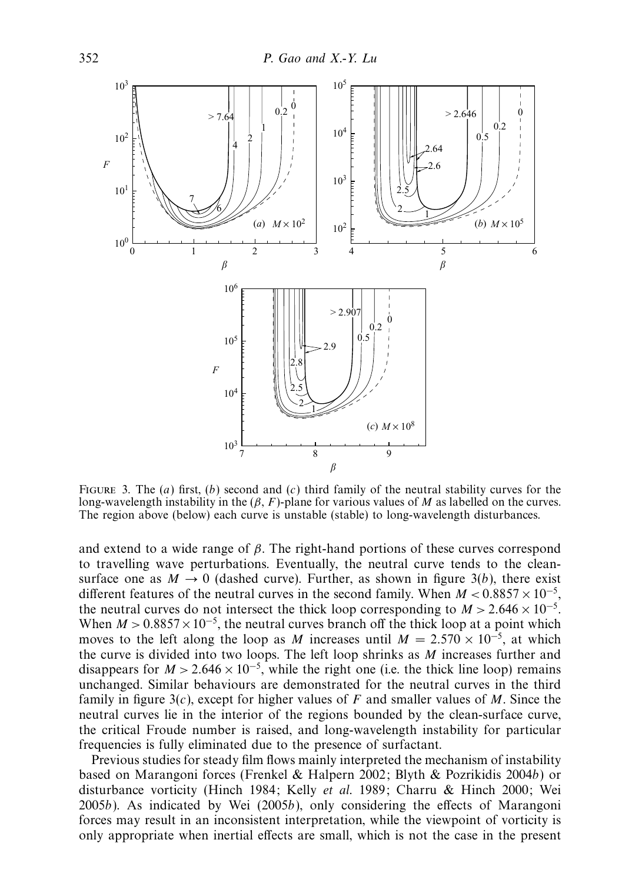

FIGURE 3. The  $(a)$  first,  $(b)$  second and  $(c)$  third family of the neutral stability curves for the long-wavelength instability in the (*β*, *F*)-plane for various values of *M* as labelled on the curves. The region above (below) each curve is unstable (stable) to long-wavelength disturbances.

and extend to a wide range of *β*. The right-hand portions of these curves correspond to travelling wave perturbations. Eventually, the neutral curve tends to the cleansurface one as  $M \to 0$  (dashed curve). Further, as shown in figure 3(b), there exist different features of the neutral curves in the second family. When  $M < 0.8857 \times 10^{-5}$ , the neutral curves do not intersect the thick loop corresponding to  $M > 2.646 \times 10^{-5}$ . When  $M > 0.8857 \times 10^{-5}$ , the neutral curves branch off the thick loop at a point which moves to the left along the loop as *M* increases until  $M = 2.570 \times 10^{-5}$ , at which the curve is divided into two loops. The left loop shrinks as *M* increases further and disappears for  $M > 2.646 \times 10^{-5}$ , while the right one (i.e. the thick line loop) remains unchanged. Similar behaviours are demonstrated for the neutral curves in the third family in figure 3(c), except for higher values of *F* and smaller values of *M*. Since the neutral curves lie in the interior of the regions bounded by the clean-surface curve, the critical Froude number is raised, and long-wavelength instability for particular frequencies is fully eliminated due to the presence of surfactant.

Previous studies for steady film flows mainly interpreted the mechanism of instability based on Marangoni forces (Frenkel & Halpern 2002; Blyth & Pozrikidis 2004b) or disturbance vorticity (Hinch 1984; Kelly et al. 1989; Charru & Hinch 2000; Wei 2005b). As indicated by Wei (2005b), only considering the effects of Marangoni forces may result in an inconsistent interpretation, while the viewpoint of vorticity is only appropriate when inertial effects are small, which is not the case in the present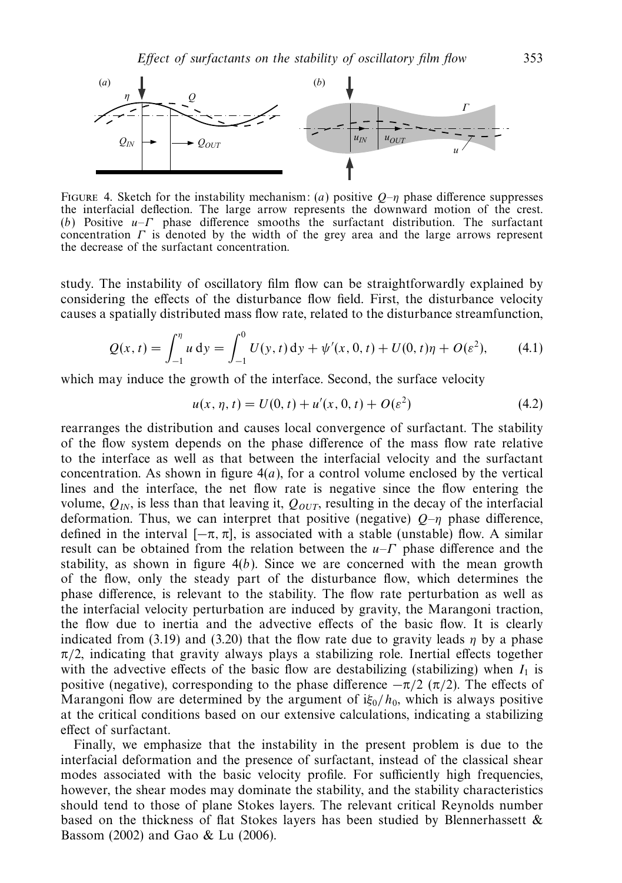

FIGURE 4. Sketch for the instability mechanism: (a) positive  $Q-\eta$  phase difference suppresses the interfacial deflection. The large arrow represents the downward motion of the crest. (b) Positive *u*–*Γ* phase difference smooths the surfactant distribution. The surfactant concentration *Γ* is denoted by the width of the grey area and the large arrows represent the decrease of the surfactant concentration.

study. The instability of oscillatory film flow can be straightforwardly explained by considering the effects of the disturbance flow field. First, the disturbance velocity causes a spatially distributed mass flow rate, related to the disturbance streamfunction,

$$
Q(x,t) = \int_{-1}^{\eta} u \, dy = \int_{-1}^{0} U(y,t) \, dy + \psi'(x,0,t) + U(0,t)\eta + O(\varepsilon^2), \tag{4.1}
$$

which may induce the growth of the interface. Second, the surface velocity

$$
u(x, \eta, t) = U(0, t) + u'(x, 0, t) + O(\varepsilon^2)
$$
\n(4.2)

rearranges the distribution and causes local convergence of surfactant. The stability of the flow system depends on the phase difference of the mass flow rate relative to the interface as well as that between the interfacial velocity and the surfactant concentration. As shown in figure  $4(a)$ , for a control volume enclosed by the vertical lines and the interface, the net flow rate is negative since the flow entering the volume,  $Q_{IN}$ , is less than that leaving it,  $Q_{OUT}$ , resulting in the decay of the interfacial deformation. Thus, we can interpret that positive (negative)  $Q_{\text{--}\eta}$  phase difference, defined in the interval  $[-\pi, \pi]$ , is associated with a stable (unstable) flow. A similar result can be obtained from the relation between the *u*–*Γ* phase difference and the stability, as shown in figure  $4(b)$ . Since we are concerned with the mean growth of the flow, only the steady part of the disturbance flow, which determines the phase difference, is relevant to the stability. The flow rate perturbation as well as the interfacial velocity perturbation are induced by gravity, the Marangoni traction, the flow due to inertia and the advective effects of the basic flow. It is clearly indicated from (3.19) and (3.20) that the flow rate due to gravity leads  $\eta$  by a phase  $\pi/2$ , indicating that gravity always plays a stabilizing role. Inertial effects together with the advective effects of the basic flow are destabilizing (stabilizing) when  $I_1$  is positive (negative), corresponding to the phase difference  $-\pi/2$  ( $\pi/2$ ). The effects of Marangoni flow are determined by the argument of  $i\xi_0/h_0$ , which is always positive at the critical conditions based on our extensive calculations, indicating a stabilizing effect of surfactant.

Finally, we emphasize that the instability in the present problem is due to the interfacial deformation and the presence of surfactant, instead of the classical shear modes associated with the basic velocity profile. For sufficiently high frequencies, however, the shear modes may dominate the stability, and the stability characteristics should tend to those of plane Stokes layers. The relevant critical Reynolds number based on the thickness of flat Stokes layers has been studied by Blennerhassett  $\&$ Bassom (2002) and Gao & Lu (2006).